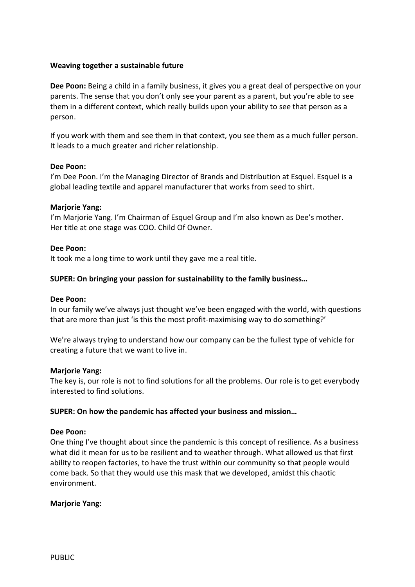# **Weaving together a sustainable future**

**Dee Poon:** Being a child in a family business, it gives you a great deal of perspective on your parents. The sense that you don't only see your parent as a parent, but you're able to see them in a different context, which really builds upon your ability to see that person as a person.

If you work with them and see them in that context, you see them as a much fuller person. It leads to a much greater and richer relationship.

## **Dee Poon:**

I'm Dee Poon. I'm the Managing Director of Brands and Distribution at Esquel. Esquel is a global leading textile and apparel manufacturer that works from seed to shirt.

## **Marjorie Yang:**

I'm Marjorie Yang. I'm Chairman of Esquel Group and I'm also known as Dee's mother. Her title at one stage was COO. Child Of Owner.

## **Dee Poon:**

It took me a long time to work until they gave me a real title.

# **SUPER: On bringing your passion for sustainability to the family business…**

### **Dee Poon:**

In our family we've always just thought we've been engaged with the world, with questions that are more than just 'is this the most profit-maximising way to do something?'

We're always trying to understand how our company can be the fullest type of vehicle for creating a future that we want to live in.

### **Marjorie Yang:**

The key is, our role is not to find solutions for all the problems. Our role is to get everybody interested to find solutions.

### **SUPER: On how the pandemic has affected your business and mission…**

### **Dee Poon:**

One thing I've thought about since the pandemic is this concept of resilience. As a business what did it mean for us to be resilient and to weather through. What allowed us that first ability to reopen factories, to have the trust within our community so that people would come back. So that they would use this mask that we developed, amidst this chaotic environment.

### **Marjorie Yang:**